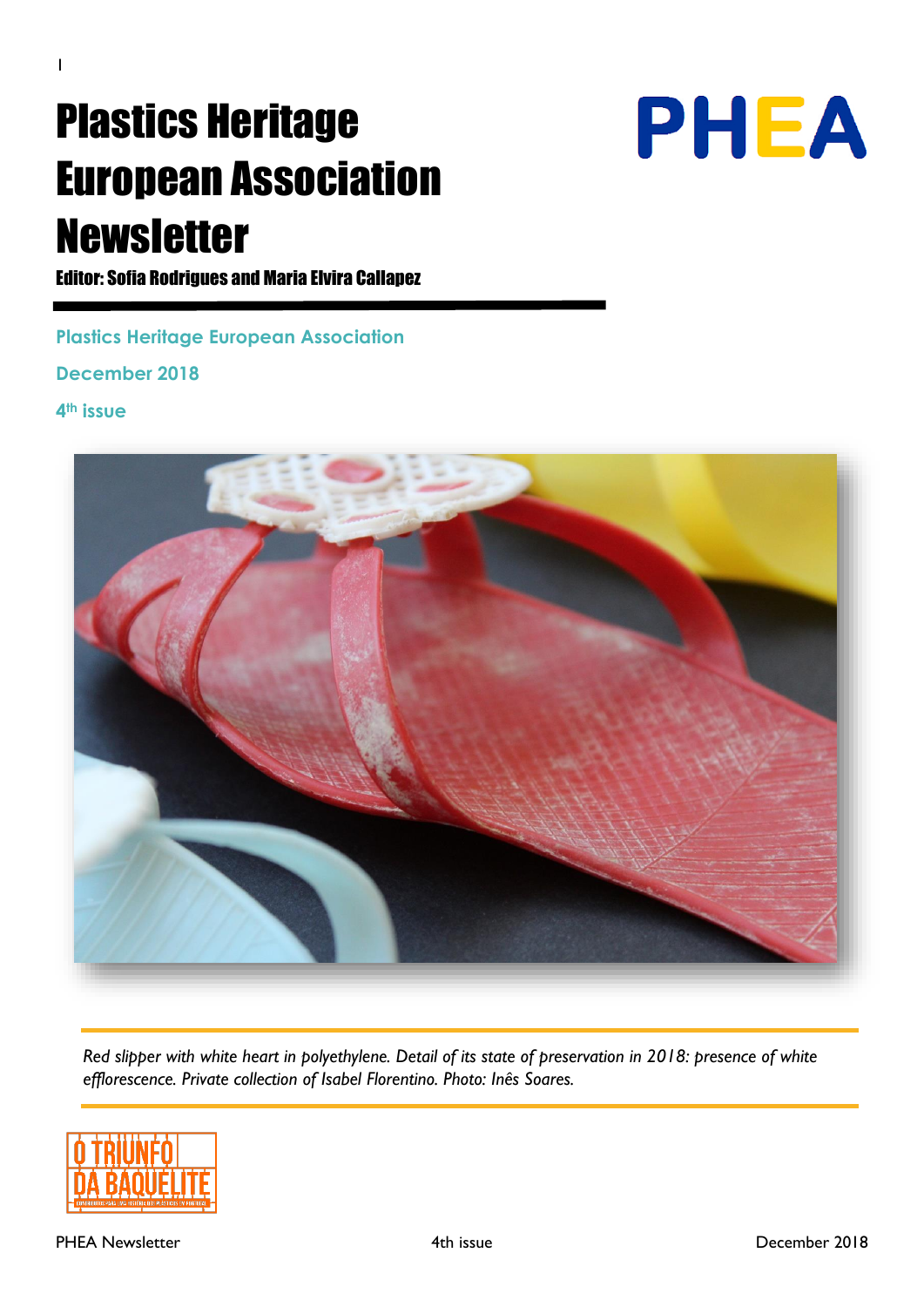# Plastics Heritage European Association Newsletter



Editor: Sofia Rodrigues and Maria Elvira Callapez

**Plastics Heritage European Association**

**December 2018**

**4th issue**



*Red slipper with white heart in polyethylene. Detail of its state of preservation in 2018: presence of white efflorescence. Private collection of Isabel Florentino. Photo: Inês Soares.*

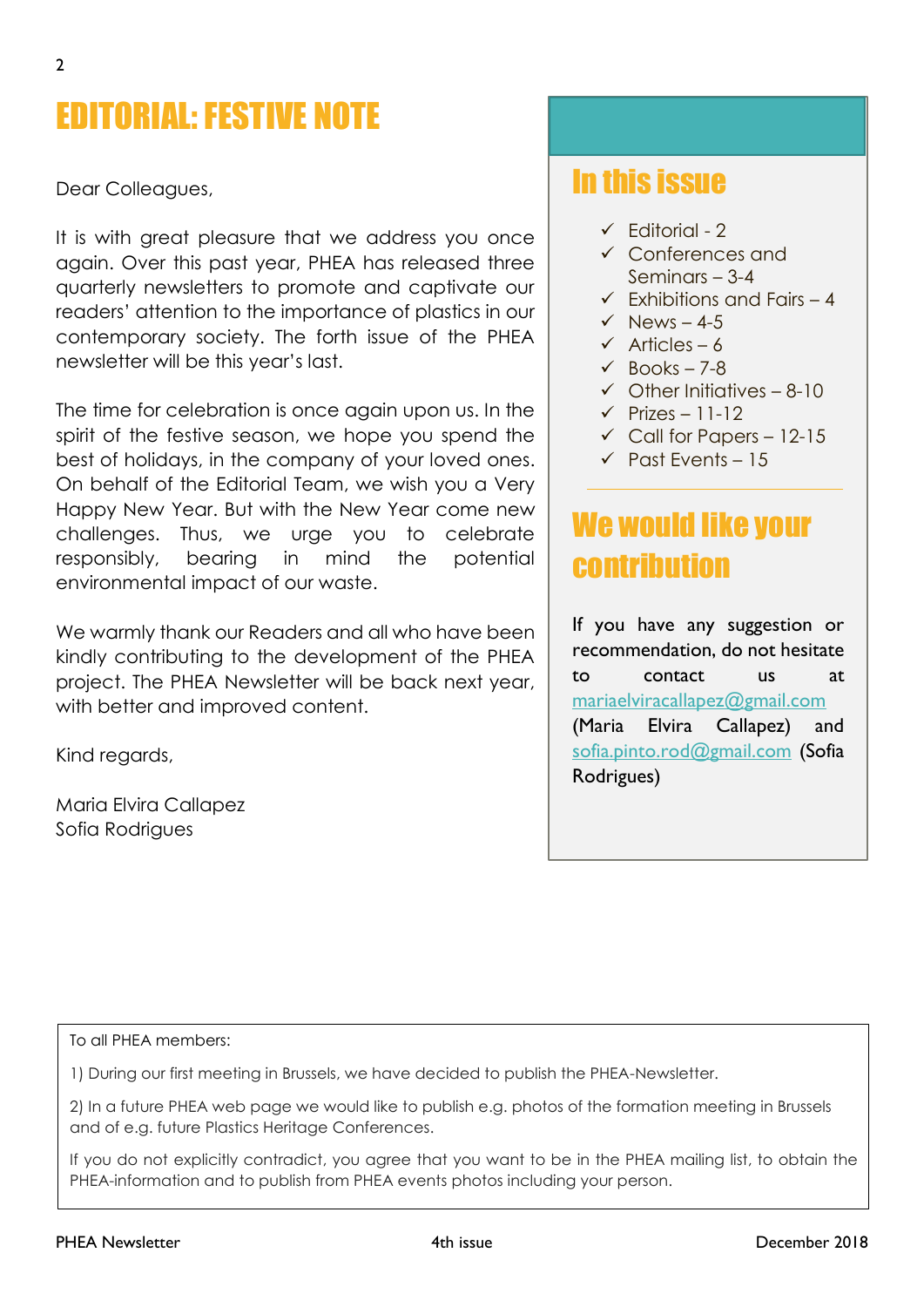# EDITORIAL: FESTIVE NOTE

Dear Colleagues,

It is with great pleasure that we address you once again. Over this past year, PHEA has released three quarterly newsletters to promote and captivate our readers' attention to the importance of plastics in our contemporary society. The forth issue of the PHEA newsletter will be this year's last.

The time for celebration is once again upon us. In the spirit of the festive season, we hope you spend the best of holidays, in the company of your loved ones. On behalf of the Editorial Team, we wish you a Very Happy New Year. But with the New Year come new challenges. Thus, we urge you to celebrate responsibly, bearing in mind the potential environmental impact of our waste.

We warmly thank our Readers and all who have been kindly contributing to the development of the PHEA project. The PHEA Newsletter will be back next year, with better and improved content.

Kind regards,

Maria Elvira Callapez Sofia Rodrigues

# In this issue

- $\checkmark$  Fditorial 2
- ✓ Conferences and Seminars – 3-4
- $\checkmark$  Fxhibitions and Fairs 4
- $\checkmark$  News 4-5
- $\checkmark$  Articles 6
- $\sqrt{BC}$  Books 7-8
- $\checkmark$  Other Initiatives 8-10
- $\checkmark$  Prizes 11-12
- $\checkmark$  Call for Papers 12-15
- $\checkmark$  Past Events 15

# We would like your contribution

If you have any suggestion or recommendation, do not hesitate to contact us at [mariaelviracallapez@gmail.com](mailto:mariaelviracallapez@gmail.com) (Maria Elvira Callapez) and [sofia.pinto.rod@gmail.com](mailto:sofia.pinto.rod@gmail.com) (Sofia Rodrigues)

To all PHEA members:

1) During our first meeting in Brussels, we have decided to publish the PHEA-Newsletter.

2) In a future PHEA web page we would like to publish e.g. photos of the formation meeting in Brussels and of e.g. future Plastics Heritage Conferences.

If you do not explicitly contradict, you agree that you want to be in the PHEA mailing list, to obtain the PHEA-information and to publish from PHEA events photos including your person.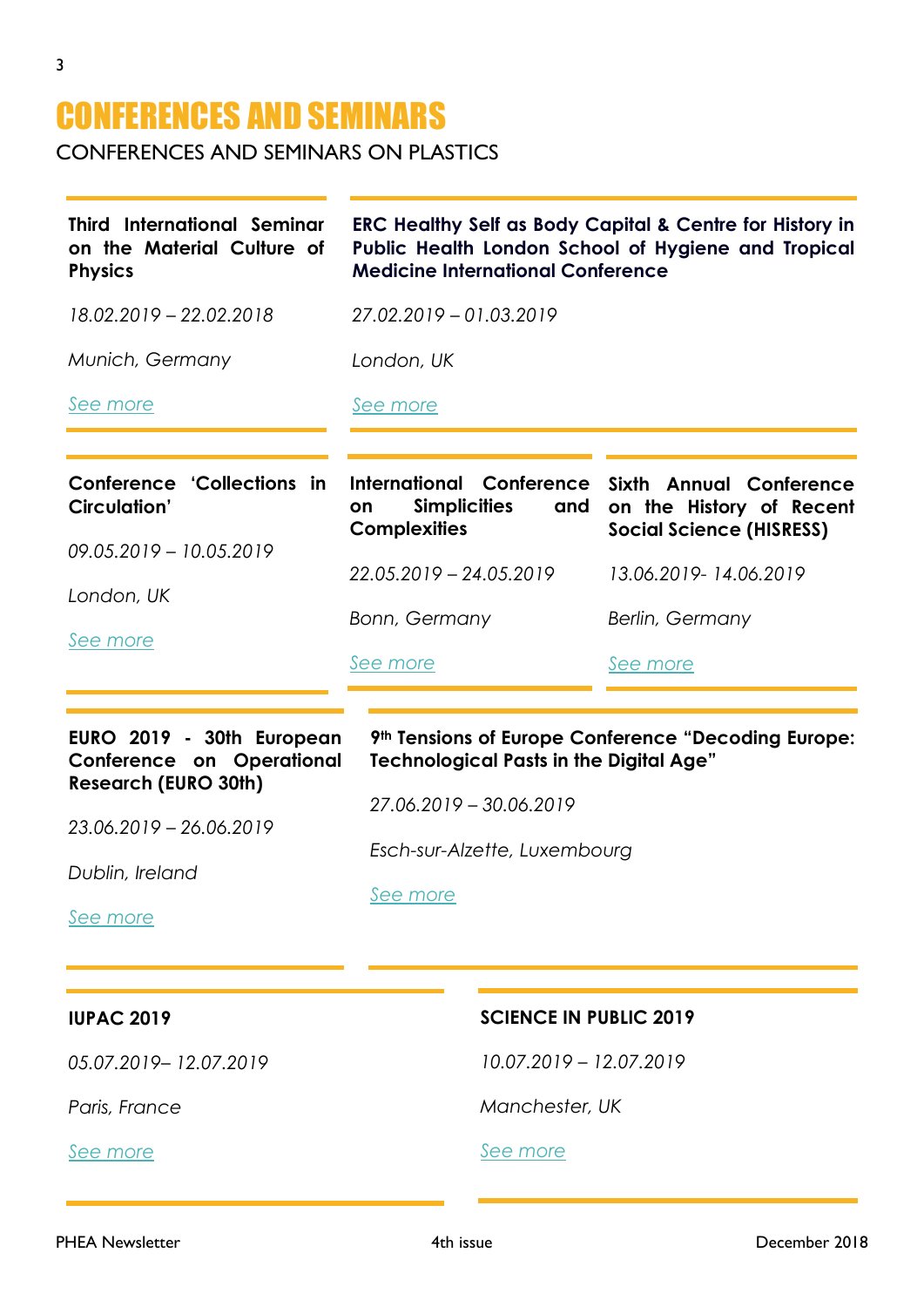# CONFERENCES AND SEMINARS

CONFERENCES AND SEMINARS ON PLASTICS

| <b>Third International Seminar</b><br>on the Material Culture of<br><b>Physics</b>                                                                     | <b>ERC Healthy Self as Body Capital &amp; Centre for History in</b><br>Public Health London School of Hygiene and Tropical<br><b>Medicine International Conference</b>       |                                                                                        |
|--------------------------------------------------------------------------------------------------------------------------------------------------------|------------------------------------------------------------------------------------------------------------------------------------------------------------------------------|----------------------------------------------------------------------------------------|
| 18.02.2019 - 22.02.2018                                                                                                                                | 27.02.2019 - 01.03.2019                                                                                                                                                      |                                                                                        |
| Munich, Germany                                                                                                                                        | London, UK                                                                                                                                                                   |                                                                                        |
| See more                                                                                                                                               | See more                                                                                                                                                                     |                                                                                        |
| <b>Conference 'Collections in</b><br><b>Circulation'</b>                                                                                               | International Conference<br><b>Simplicities</b><br>and<br>on<br><b>Complexities</b>                                                                                          | Sixth Annual Conference<br>on the History of Recent<br><b>Social Science (HISRESS)</b> |
| 09.05.2019 - 10.05.2019                                                                                                                                | 22.05.2019 - 24.05.2019                                                                                                                                                      | 13.06.2019-14.06.2019                                                                  |
| London, UK<br>See more                                                                                                                                 | Bonn, Germany                                                                                                                                                                | Berlin, Germany                                                                        |
|                                                                                                                                                        | See more                                                                                                                                                                     | See more                                                                               |
| EURO 2019 - 30th European<br><b>Conference on Operational</b><br><b>Research (EURO 30th)</b><br>23.06.2019 - 26.06.2019<br>Dublin, Ireland<br>See more | 9th Tensions of Europe Conference "Decoding Europe:<br><b>Technological Pasts in the Digital Age"</b><br>27.06.2019 - 30.06.2019<br>Esch-sur-Alzette, Luxembourg<br>See more |                                                                                        |
| <b>IUPAC 2019</b>                                                                                                                                      | <b>SCIENCE IN PUBLIC 2019</b>                                                                                                                                                |                                                                                        |
| 05.07.2019-12.07.2019                                                                                                                                  | 10.07.2019 - 12.07.2019                                                                                                                                                      |                                                                                        |
| Paris, France                                                                                                                                          | Manchester, UK                                                                                                                                                               |                                                                                        |
| See more                                                                                                                                               | See more                                                                                                                                                                     |                                                                                        |
|                                                                                                                                                        |                                                                                                                                                                              |                                                                                        |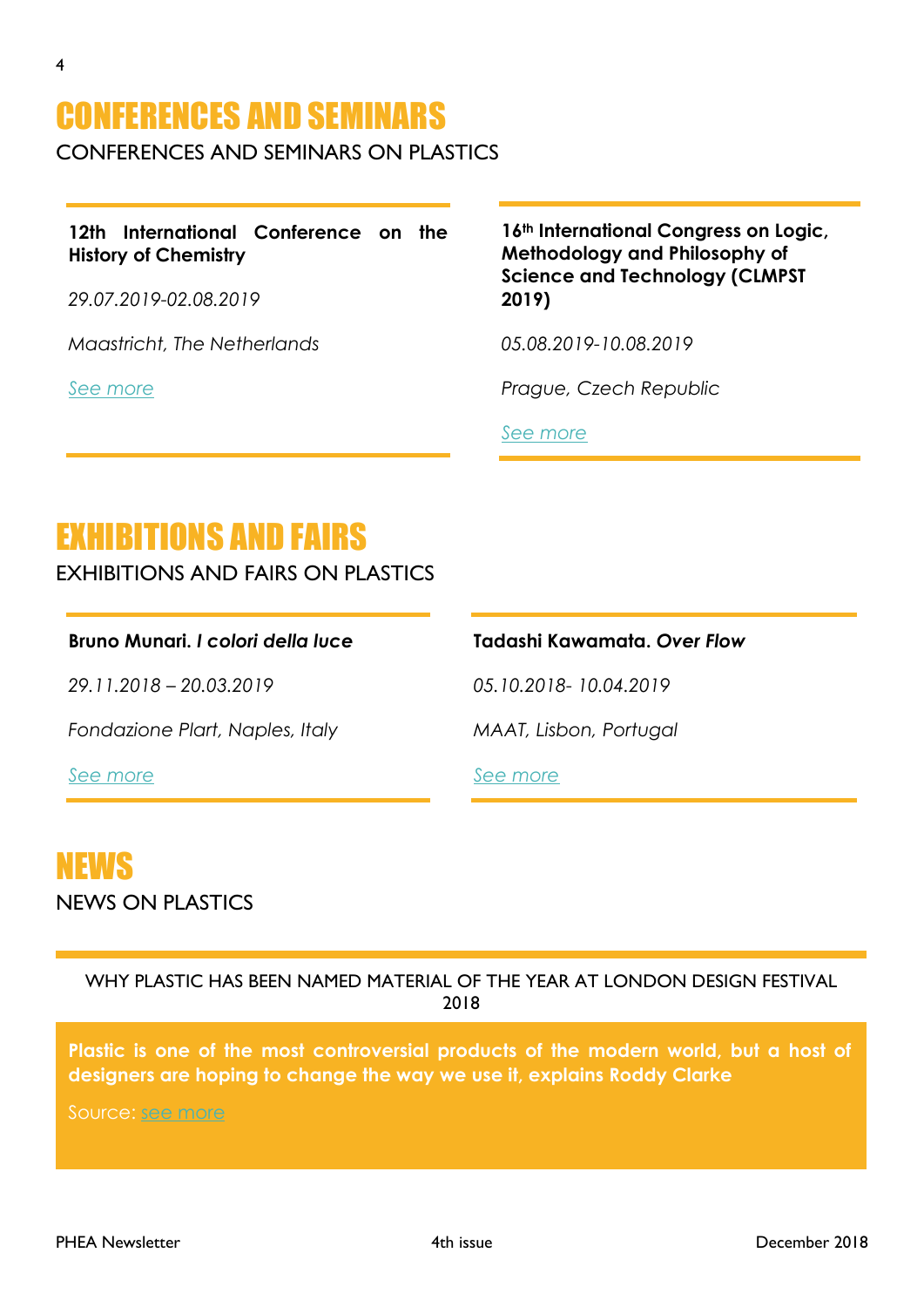# CONFERENCES AND SEMINARS

CONFERENCES AND SEMINARS ON PLASTICS

**12th International Conference on the History of Chemistry** 

*29.07.2019-02.08.2019*

*Maastricht, The Netherlands*

*[See more](http://www.ichc2019.org/)*

**16th International Congress on Logic, Methodology and Philosophy of Science and Technology (CLMPST 2019)**

*05.08.2019-10.08.2019*

*Prague, Czech Republic*

*[See more](http://clmpst2019.flu.cas.cz/)*

# EXHIBITIONS AND FAIRS

EXHIBITIONS AND FAIRS ON PLASTICS

### **Bruno Munari.** *I colori della luce*

*29.11.2018 – 20.03.2019*

*Fondazione Plart, Naples, Italy*

*[See more](http://www.fondazioneplart.it/en-us/mostre/brunomunariicoloridellaluce.aspx)*

# **Tadashi Kawamata.** *Over Flow*

*05.10.2018- 10.04.2019*

*MAAT, Lisbon, Portugal*

*[See more](https://www.maat.pt/en/exhibitions/tadashi-kawamata-over-flow)*

# NEWS

NEWS ON PLASTICS

WHY PLASTIC HAS BEEN NAMED MATERIAL OF THE YEAR AT LONDON DESIGN FESTIVAL 2018

Plastic is one of the most controversial products of the modern world, but a host of **designers are hoping to change the way we use it, explains Roddy Clarke**

Source: [see more](https://www.standard.co.uk/lifestyle/design/london-design-festival-2018-plastic-material-of-the-year-a3924851.html)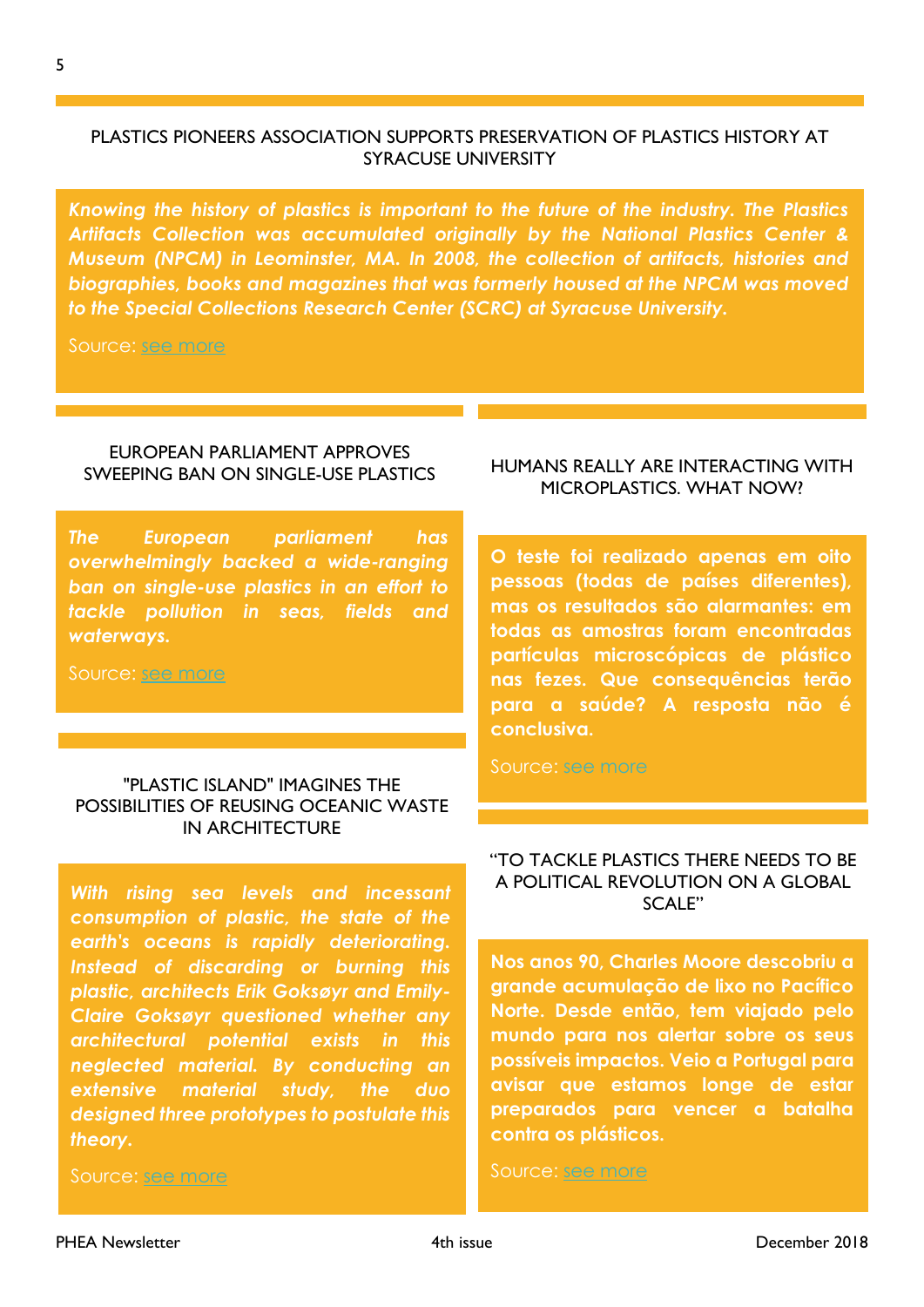# PLASTICS PIONEERS ASSOCIATION SUPPORTS PRESERVATION OF PLASTICS HISTORY AT SYRACUSE UNIVERSITY

*Knowing the history of plastics is important to the future of the industry. The Plastics Artifacts Collection was accumulated originally by the National Plastics Center & Museum (NPCM) in Leominster, MA. In 2008, the collection of artifacts, histories and biographies, books and magazines that was formerly housed at the NPCM was moved to the Special Collections Research Center (SCRC) at Syracuse University.* 

Source: [see more](https://www.plasticstoday.com/materials/plastics-pioneers-association-supports-preservation-plastics-history-syracuse-university/45553613459596?ADTRK=UBM&elq_mid=5999&elq_cid=8175835)

### EUROPEAN PARLIAMENT APPROVES SWEEPING BAN ON SINGLE-USE PLASTICS

*The European parliament has overwhelmingly backed a wide-ranging ban on single-use plastics in an effort to tackle pollution in seas, fields and waterways.* 

Source: [see more](https://www.theguardian.com/environment/2018/oct/24/european-parliament-approves-ban-on-single-use-plastics-uk-eu-brexit)

### "PLASTIC ISLAND" IMAGINES THE POSSIBILITIES OF REUSING OCEANIC WASTE IN ARCHITECTURE

*With rising sea levels and incessant consumption of plastic, the state of the earth's oceans is rapidly deteriorating. Instead of discarding or burning this plastic, architects Erik Goksøyr and Emily-Claire Goksøyr questioned whether any architectural potential exists in this neglected material. By conducting an extensive material study, the duo designed three prototypes to postulate this theory.* 

Source: [see more](https://www.archdaily.com/904749/plastic-island-imagines-the-possibilities-of-reusing-oceanic-waste-in-architecture?ad_medium=widget&ad_name=navigation-next)

### HUMANS REALLY ARE INTERACTING WITH MICROPLASTICS. WHAT NOW?

**O teste foi realizado apenas em oito pessoas (todas de países diferentes), mas os resultados são alarmantes: em todas as amostras foram encontradas partículas microscópicas de plástico nas fezes. Que consequências terão para a saúde? A resposta não é conclusiva.** 

Source: [see more](https://life.dn.pt/saude/cientistas-encontram-provas-humanos-estao-ingerir-micro-plasticos/)

### "TO TACKLE PLASTICS THERE NEEDS TO BE A POLITICAL REVOLUTION ON A GLOBAL SCALE"

**Nos anos 90, Charles Moore descobriu a grande acumulação de lixo no Pacífico Norte. Desde então, tem viajado pelo mundo para nos alertar sobre os seus possíveis impactos. Veio a Portugal para avisar que estamos longe de estar preparados para vencer a batalha contra os plásticos.**

Source: [see more](https://www.publico.pt/2018/11/21/ciencia/noticia/combatermos-plasticos-vamos-precisar-revolucao-politica-escala-mundial-1851754)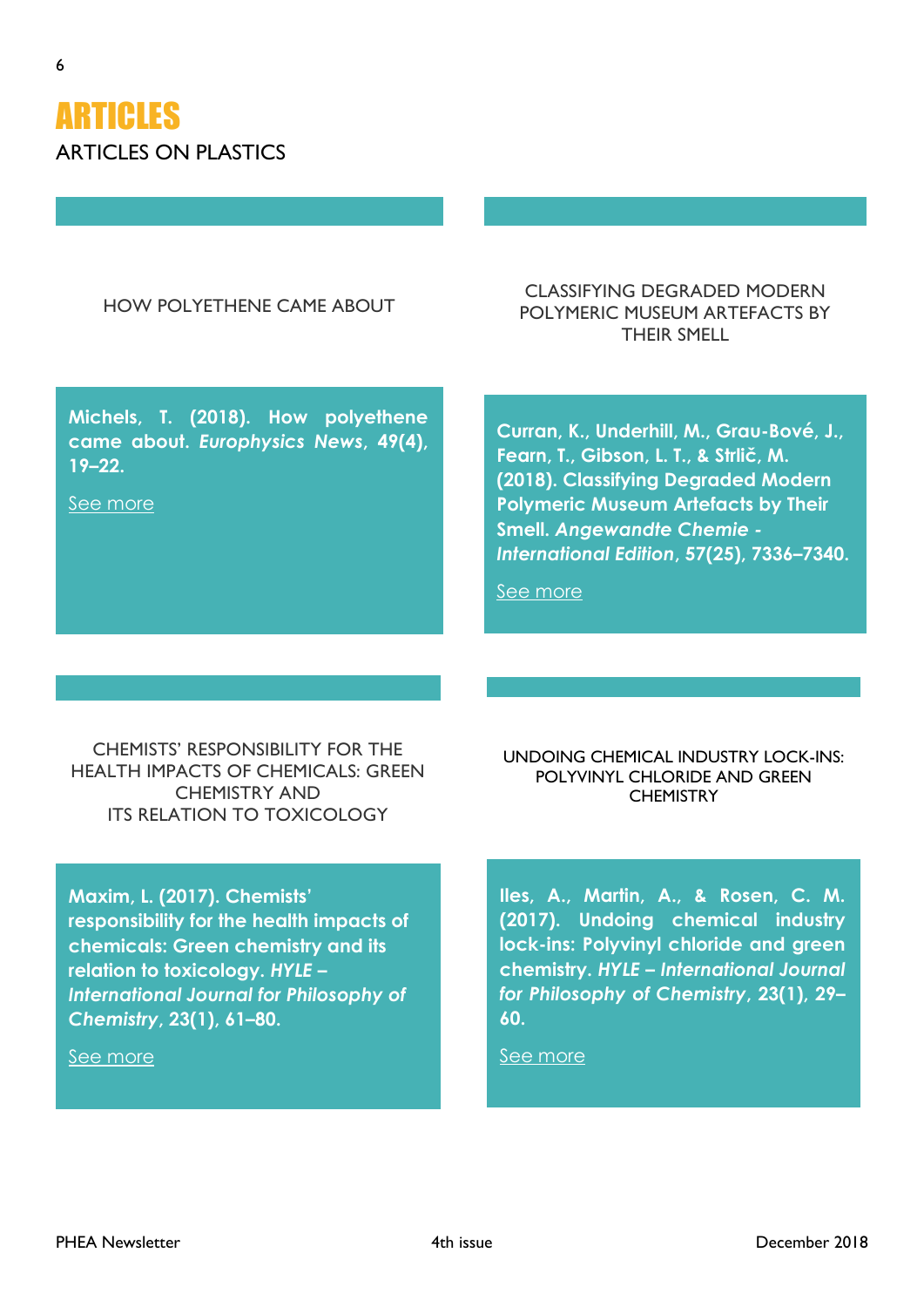

# HOW POLYETHENE CAME ABOUT

CLASSIFYING DEGRADED MODERN POLYMERIC MUSEUM ARTEFACTS BY THEIR SMELL

**Michels, T. (2018). How polyethene came about.** *Europhysics News***, 49(4), 19–22.**

[See more](https://doi.org/10.1051/epn/2018403)

**Curran, K., Underhill, M., Grau-Bové, J., Fearn, T., Gibson, L. T., & Strlič, M. (2018). Classifying Degraded Modern Polymeric Museum Artefacts by Their Smell.** *Angewandte Chemie - International Edition***, 57(25), 7336–7340.** 

[See more](http://doi.org/10.1002/anie.201712278)

CHEMISTS' RESPONSIBILITY FOR THE HEALTH IMPACTS OF CHEMICALS: GREEN CHEMISTRY AND ITS RELATION TO TOXICOLOGY

**Maxim, L. (2017). Chemists' responsibility for the health impacts of chemicals: Green chemistry and its relation to toxicology.** *HYLE – International Journal for Philosophy of Chemistry***, 23(1), 61–80.**

[See more](http://www.hyle.org/journal/issues/23-1/maxim.pdf)

UNDOING CHEMICAL INDUSTRY LOCK-INS: POLYVINYL CHLORIDE AND GREEN **CHEMISTRY** 

**Iles, A., Martin, A., & Rosen, C. M. (2017). Undoing chemical industry lock-ins: Polyvinyl chloride and green chemistry.** *HYLE – International Journal for Philosophy of Chemistry***, 23(1), 29– 60.**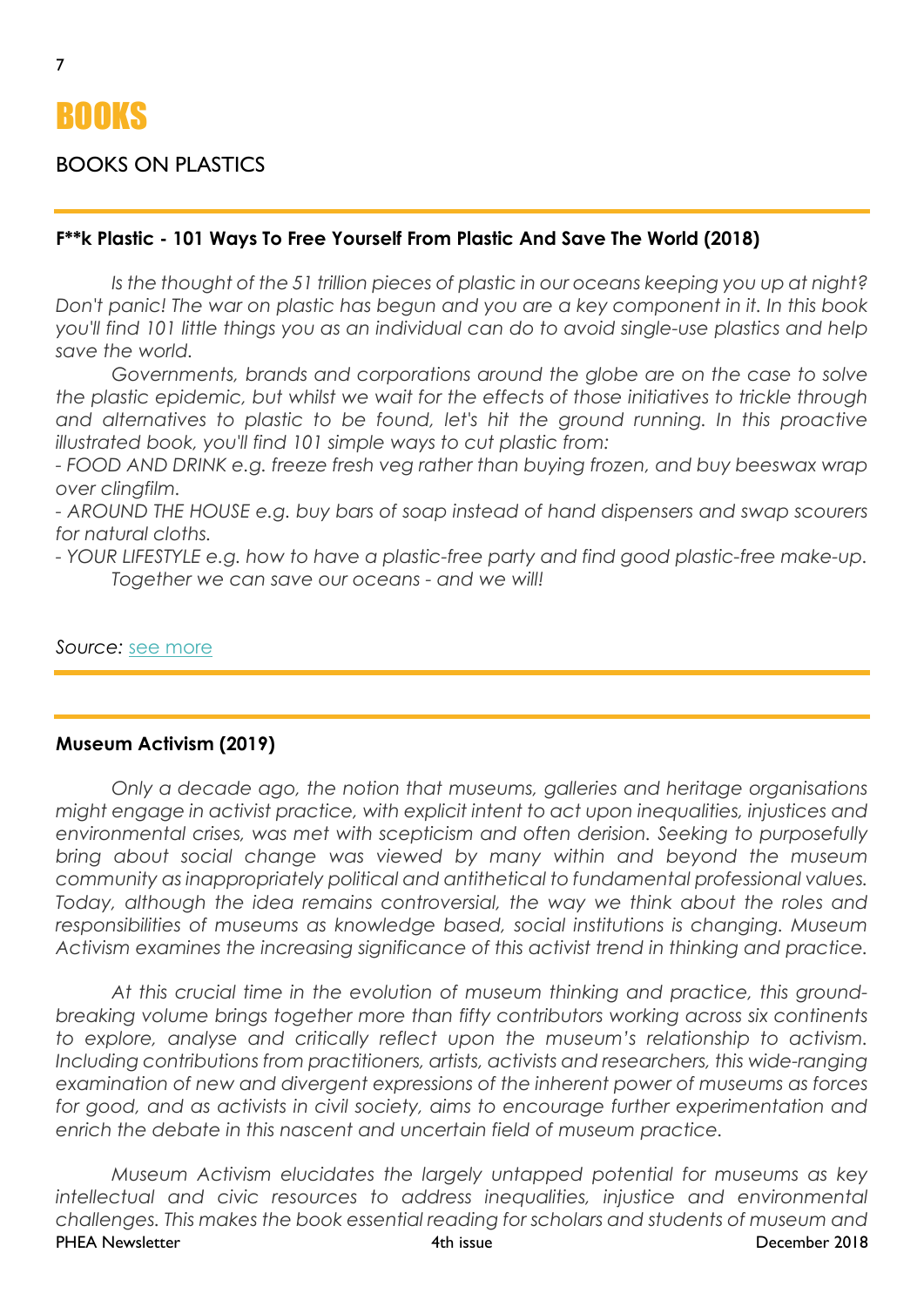# BOOKS

# BOOKS ON PLASTICS

# **F\*\*k Plastic - 101 Ways To Free Yourself From Plastic And Save The World (2018)**

*Is the thought of the 51 trillion pieces of plastic in our oceans keeping you up at night? Don't panic! The war on plastic has begun and you are a key component in it. In this book you'll find 101 little things you as an individual can do to avoid single-use plastics and help save the world.*

*Governments, brands and corporations around the globe are on the case to solve the plastic epidemic, but whilst we wait for the effects of those initiatives to trickle through and alternatives to plastic to be found, let's hit the ground running. In this proactive illustrated book, you'll find 101 simple ways to cut plastic from:*

*- FOOD AND DRINK e.g. freeze fresh veg rather than buying frozen, and buy beeswax wrap over clingfilm.*

*- AROUND THE HOUSE e.g. buy bars of soap instead of hand dispensers and swap scourers for natural cloths.*

*- YOUR LIFESTYLE e.g. how to have a plastic-free party and find good plastic-free make-up. Together we can save our oceans - and we will!*

*Source:* [see more](https://www.booktopia.com.au/f-k-plastic-various/prod9781841883144.html)

# **Museum Activism (2019)**

*Only a decade ago, the notion that museums, galleries and heritage organisations might engage in activist practice, with explicit intent to act upon inequalities, injustices and environmental crises, was met with scepticism and often derision. Seeking to purposefully bring about social change was viewed by many within and beyond the museum community as inappropriately political and antithetical to fundamental professional values. Today, although the idea remains controversial, the way we think about the roles and responsibilities of museums as knowledge based, social institutions is changing. Museum Activism examines the increasing significance of this activist trend in thinking and practice.*

*At this crucial time in the evolution of museum thinking and practice, this groundbreaking volume brings together more than fifty contributors working across six continents to explore, analyse and critically reflect upon the museum's relationship to activism. Including contributions from practitioners, artists, activists and researchers, this wide-ranging examination of new and divergent expressions of the inherent power of museums as forces for good, and as activists in civil society, aims to encourage further experimentation and enrich the debate in this nascent and uncertain field of museum practice.*

PHEA Newsletter 4th issue December 2018 *Museum Activism elucidates the largely untapped potential for museums as key intellectual and civic resources to address inequalities, injustice and environmental challenges. This makes the book essential reading for scholars and students of museum and*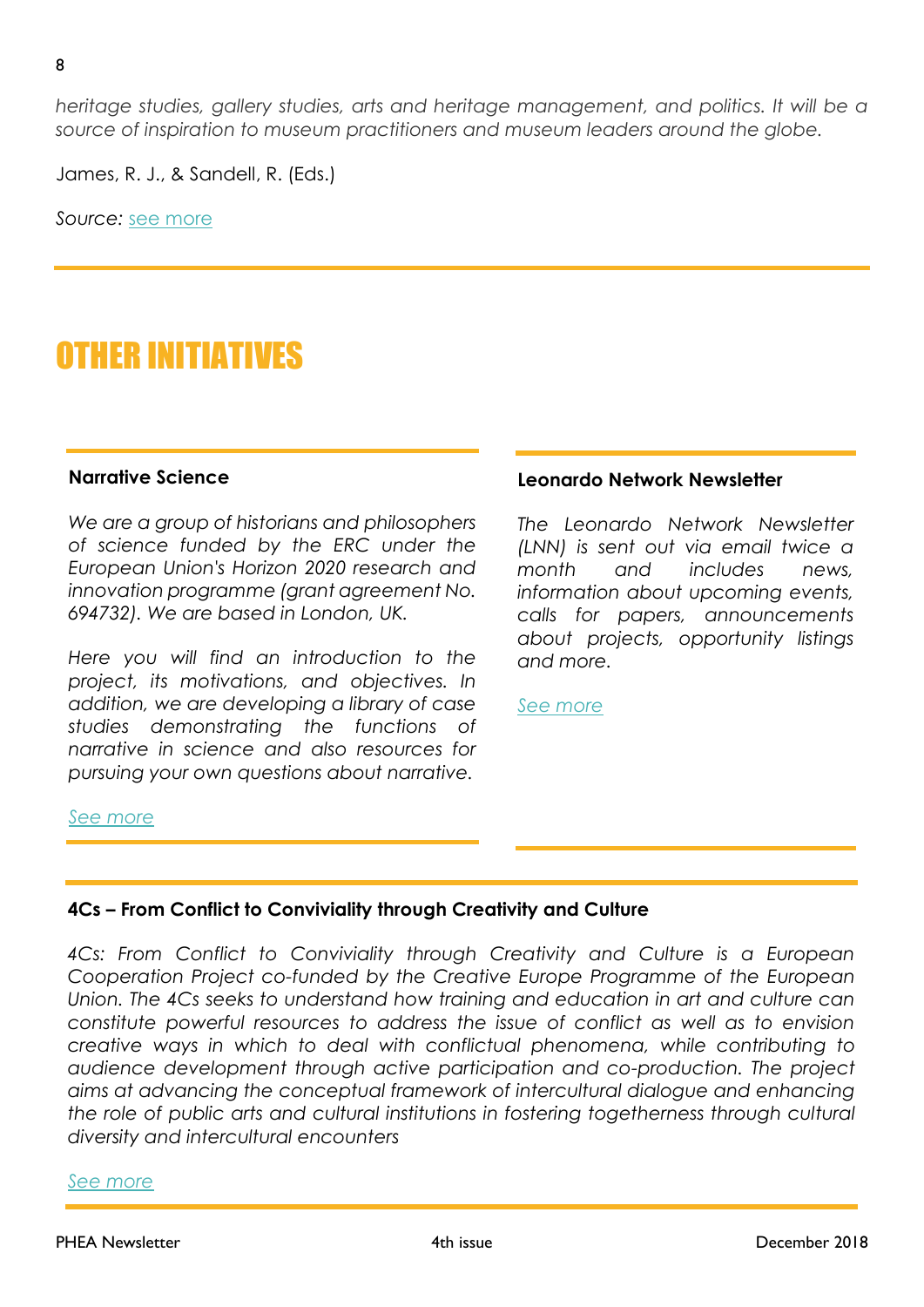*heritage studies, gallery studies, arts and heritage management, and politics. It will be a source of inspiration to museum practitioners and museum leaders around the globe.*

James, R. J., & Sandell, R. (Eds.)

*Source:* [see more](https://www.routledge.com/Museum-Activism/Janes-Sandell/p/book/9780815369974?utm_source=third_party_list&utm_medium=email&utm_campaign=B181103066&fbclid=IwAR3clb0E_Oaq-pOsSHXWTMDCzi3gExodh_NRcvZPSpHnBpZK5j8DYGMy2oA)

# OTHER INITIATIVES

#### **Narrative Science**

*We are a group of historians and philosophers of science funded by the ERC under the European Union's Horizon 2020 research and innovation programme (grant agreement No. 694732). We are based in London, UK.*

*Here you will find an introduction to the project, its motivations, and objectives. In addition, we are developing a library of case studies demonstrating the functions of narrative in science and also resources for pursuing your own questions about narrative.*

#### **Leonardo Network Newsletter**

*The Leonardo Network Newsletter (LNN) is sent out via email twice a month and includes news, information about upcoming events, calls for papers, announcements about projects, opportunity listings and more.*

*[See more](https://www.leonardo.info/lnn?utm_source=LNN%20subscribers&utm_campaign=1d5764a31d-EMAIL_CAMPAIGN_2018_10_12_01_30&utm_medium=email&utm_term=0_59c5038641-1d5764a31d-110810333&mc_cid=1d5764a31d&mc_eid=a282650af6)*

#### *[See more](https://www.narrative-science.org/)*

### **4Cs – From Conflict to Conviviality through Creativity and Culture**

*4Cs: From Conflict to Conviviality through Creativity and Culture is a European Cooperation Project co-funded by the Creative Europe Programme of the European Union. The 4Cs seeks to understand how training and education in art and culture can constitute powerful resources to address the issue of conflict as well as to envision creative ways in which to deal with conflictual phenomena, while contributing to audience development through active participation and co-production. The project aims at advancing the conceptual framework of intercultural dialogue and enhancing the role of public arts and cultural institutions in fostering togetherness through cultural diversity and intercultural encounters*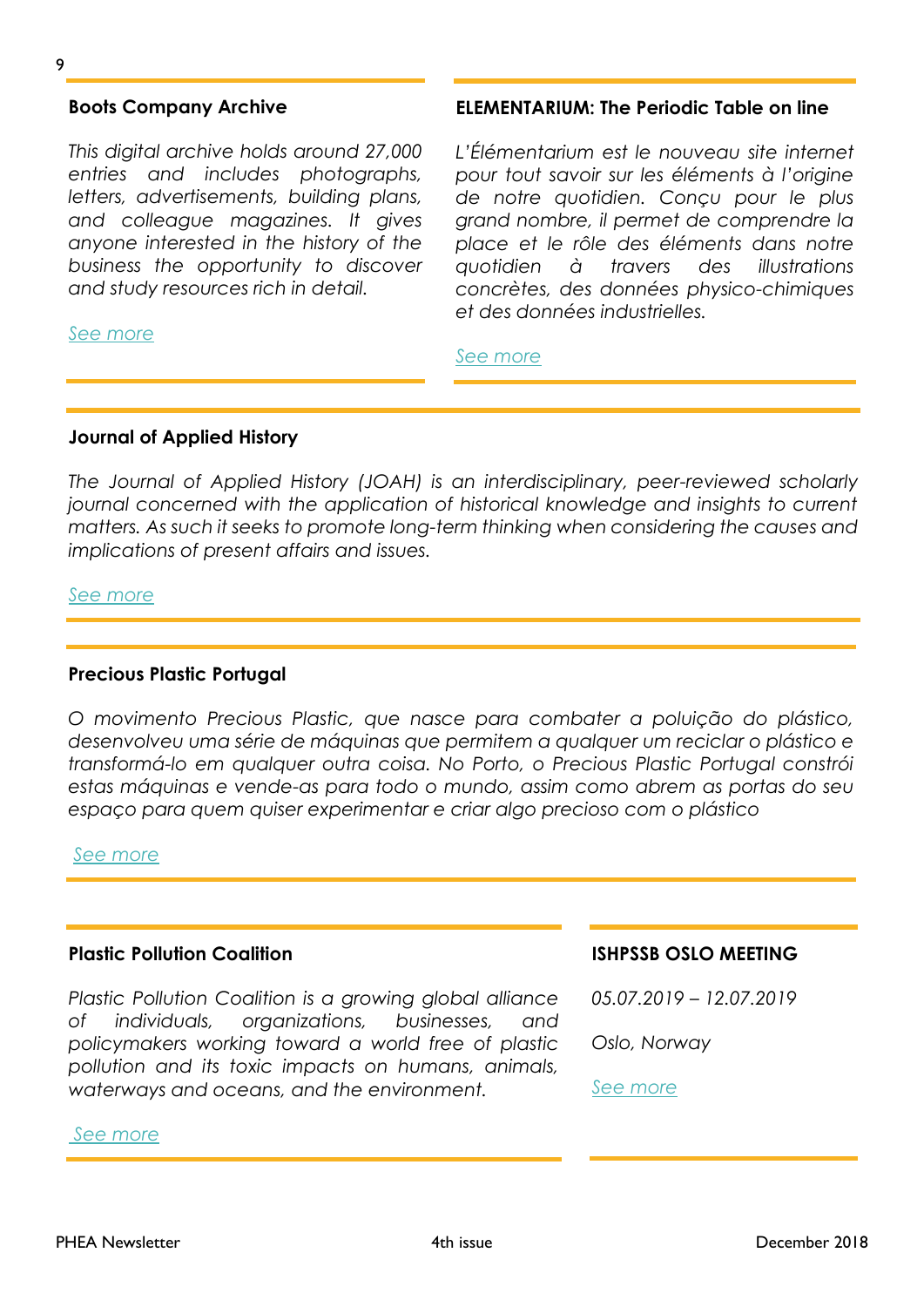#### **Boots Company Archive**

*This digital archive holds around 27,000 entries and includes photographs, letters, advertisements, building plans, and colleague magazines. It gives anyone interested in the history of the business the opportunity to discover and study resources rich in detail.*

#### *[See more](http://archives.walgreensbootsalliance.com/)*

#### **ELEMENTARIUM: The Periodic Table on line**

*L'Élémentarium est le nouveau site internet pour tout savoir sur les éléments à l'origine de notre quotidien. Conçu pour le plus grand nombre, il permet de comprendre la place et le rôle des éléments dans notre quotidien à travers des illustrations concrètes, des données physico-chimiques et des données industrielles.*

#### *[See more](https://www.lelementarium.fr/)*

#### **Journal of Applied History**

*The Journal of Applied History (JOAH) is an interdisciplinary, peer-reviewed scholarly journal concerned with the application of historical knowledge and insights to current matters. As such it seeks to promote long-term thinking when considering the causes and implications of present affairs and issues.* 

#### *[See more](https://brill.com/view/journals/joah/joah-overview.xml)*

#### **Precious Plastic Portugal**

*O movimento Precious Plastic, que nasce para combater a poluição do plástico,*  desenvolveu uma série de máquinas que permitem a qualquer um reciclar o plástico e *transformá-lo em qualquer outra coisa. No Porto, o Precious Plastic Portugal constrói estas máquinas e vende-as para todo o mundo, assim como abrem as portas do seu espaço para quem quiser experimentar e criar algo precioso com o plástico*

#### *[See more](https://www.facebook.com/smack.pt/videos/253401662036724/UzpfSTE0ODQ5MDczM)*

#### **Plastic Pollution Coalition**

*Plastic Pollution Coalition is a growing global alliance of individuals, organizations, businesses, and policymakers working toward a world free of plastic pollution and its toxic impacts on humans, animals, waterways and oceans, and the environment.*

#### *[See more](https://www.plasticpollutioncoalition.org/)*

**ISHPSSB OSLO MEETING**

*05.07.2019 – 12.07.2019*

*Oslo, Norway*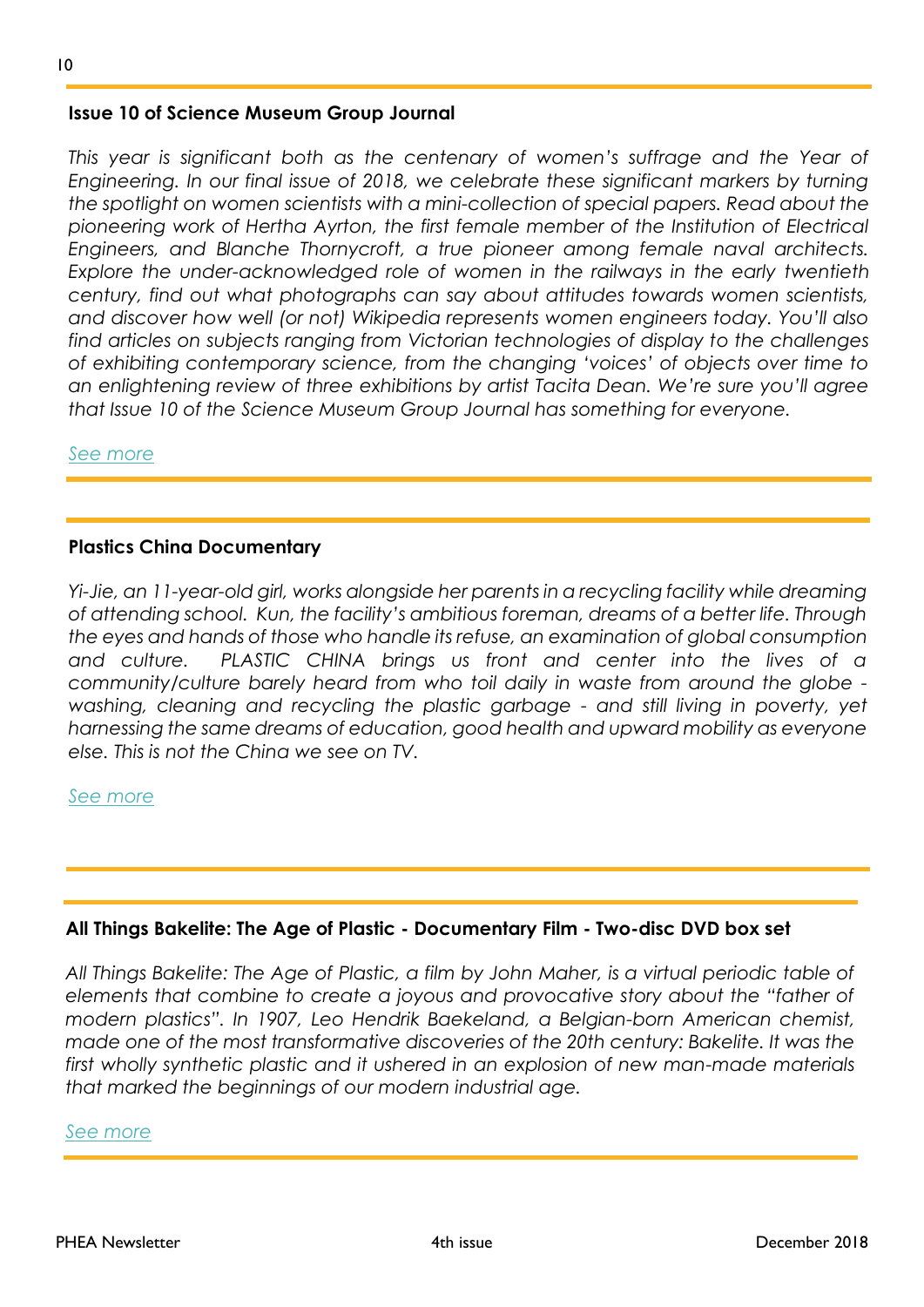### **Issue 10 of Science Museum Group Journal**

This year is significant both as the centenary of women's suffrage and the Year of *Engineering. In our final issue of 2018, we celebrate these significant markers by turning the spotlight on women scientists with a mini-collection of special papers. Read about the pioneering work of Hertha Ayrton, the first female member of the Institution of Electrical Engineers, and Blanche Thornycroft, a true pioneer among female naval architects. Explore the under-acknowledged role of women in the railways in the early twentieth century, find out what photographs can say about attitudes towards women scientists, and discover how well (or not) Wikipedia represents women engineers today. You'll also find articles on subjects ranging from Victorian technologies of display to the challenges of exhibiting contemporary science, from the changing 'voices' of objects over time to an enlightening review of three exhibitions by artist Tacita Dean. We're sure you'll agree that Issue 10 of the Science Museum Group Journal has something for everyone.*

*[See more](http://journal.sciencemuseum.org.uk/issues/autumn-2018/)*

### **Plastics China Documentary**

*Yi-Jie, an 11-year-old girl, works alongside her parents in a recycling facility while dreaming of attending school. Kun, the facility's ambitious foreman, dreams of a better life. Through the eyes and hands of those who handle its refuse, an examination of global consumption and culture. PLASTIC CHINA brings us front and center into the lives of a community/culture barely heard from who toil daily in waste from around the globe washing, cleaning and recycling the plastic garbage - and still living in poverty, yet harnessing the same dreams of education, good health and upward mobility as everyone else. This is not the China we see on TV.* 

#### *[See more](https://www.plasticchina.org/)*

#### **All Things Bakelite: The Age of Plastic - Documentary Film - Two-disc DVD box set**

*All Things Bakelite: The Age of Plastic, a film by John Maher, is a virtual periodic table of elements that combine to create a joyous and provocative story about the "father of modern plastics". In 1907, Leo Hendrik Baekeland, a Belgian-born American chemist, made one of the most transformative discoveries of the 20th century: Bakelite. It was the first wholly synthetic plastic and it ushered in an explosion of new man-made materials that marked the beginnings of our modern industrial age.*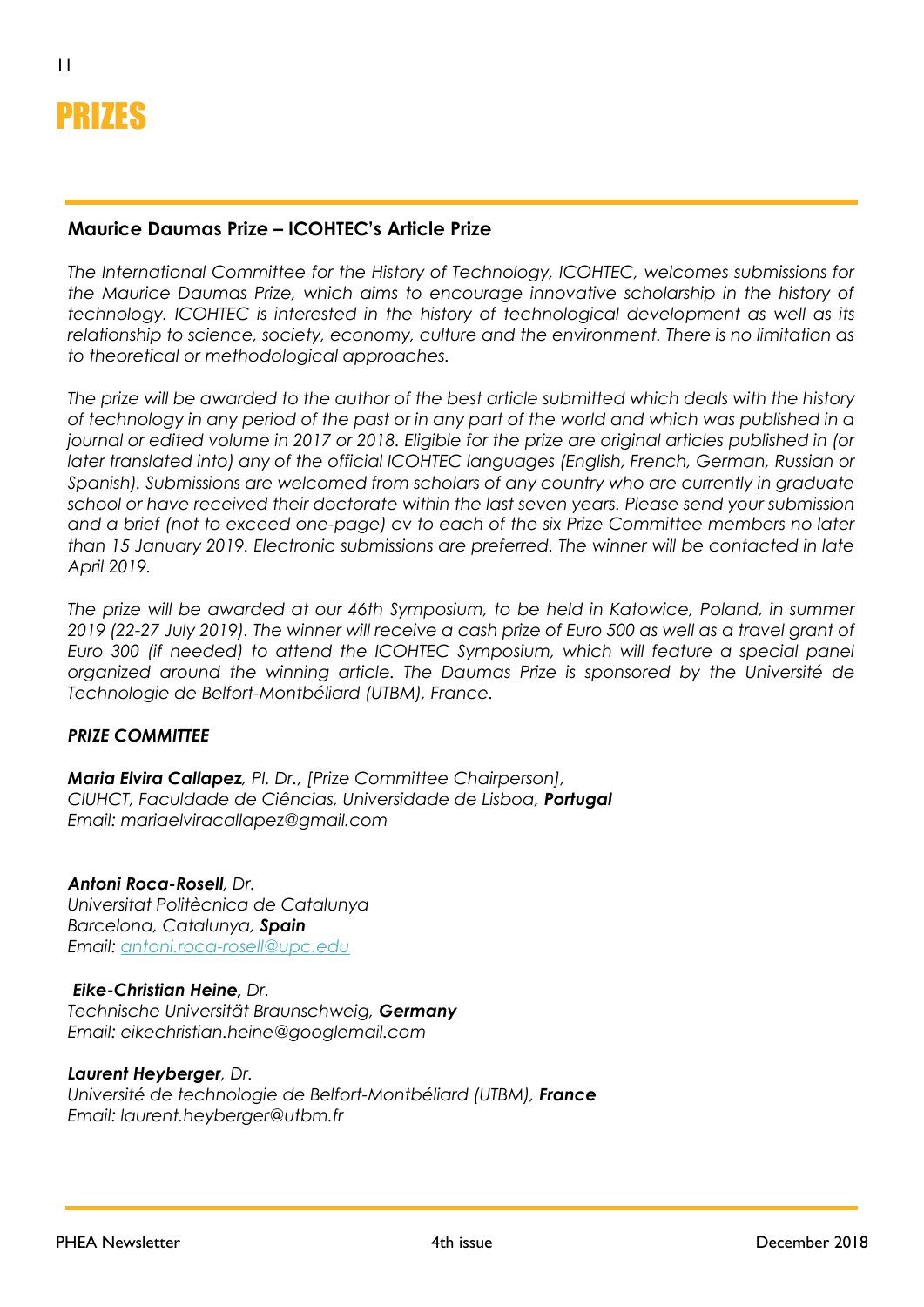

# **Maurice Daumas Prize – ICOHTEC's Article Prize**

*The International Committee for the History of Technology, ICOHTEC, welcomes submissions for the Maurice Daumas Prize, which aims to encourage innovative scholarship in the history of technology. ICOHTEC is interested in the history of technological development as well as its relationship to science, society, economy, culture and the environment. There is no limitation as to theoretical or methodological approaches.*

*The prize will be awarded to the author of the best article submitted which deals with the history of technology in any period of the past or in any part of the world and which was published in a journal or edited volume in 2017 or 2018. Eligible for the prize are original articles published in (or later translated into) any of the official ICOHTEC languages (English, French, German, Russian or Spanish). Submissions are welcomed from scholars of any country who are currently in graduate school or have received their doctorate within the last seven years. Please send your submission and a brief (not to exceed one-page) cv to each of the six Prize Committee members no later than 15 January 2019. Electronic submissions are preferred. The winner will be contacted in late April 2019.*

*The prize will be awarded at our 46th Symposium, to be held in Katowice, Poland, in summer 2019 (22-27 July 2019). The winner will receive a cash prize of Euro 500 as well as a travel grant of Euro 300 (if needed) to attend the ICOHTEC Symposium, which will feature a special panel organized around the winning article. The Daumas Prize is sponsored by the Université de Technologie de Belfort-Montbéliard (UTBM), France.*

# *PRIZE COMMITTEE*

*Maria Elvira Callapez, PI. Dr., [Prize Committee Chairperson], CIUHCT, Faculdade de Ciências, Universidade de Lisboa, Portugal Email: mariaelviracallapez@gmail.com*

#### *Antoni Roca-Rosell, Dr.*

*Universitat Politècnica de Catalunya Barcelona, Catalunya, Spain Email: [antoni.roca-rosell@upc.edu](mailto:antoni.roca-rosell@upc.edu)*

#### *Eike-Christian Heine, Dr.*

*Technische Universität Braunschweig, Germany Email: eikechristian.heine@googlemail.com*

#### *Laurent Heyberger, Dr.*

*Université de technologie de Belfort-Montbéliard (UTBM), France Email: laurent.heyberger@utbm.fr*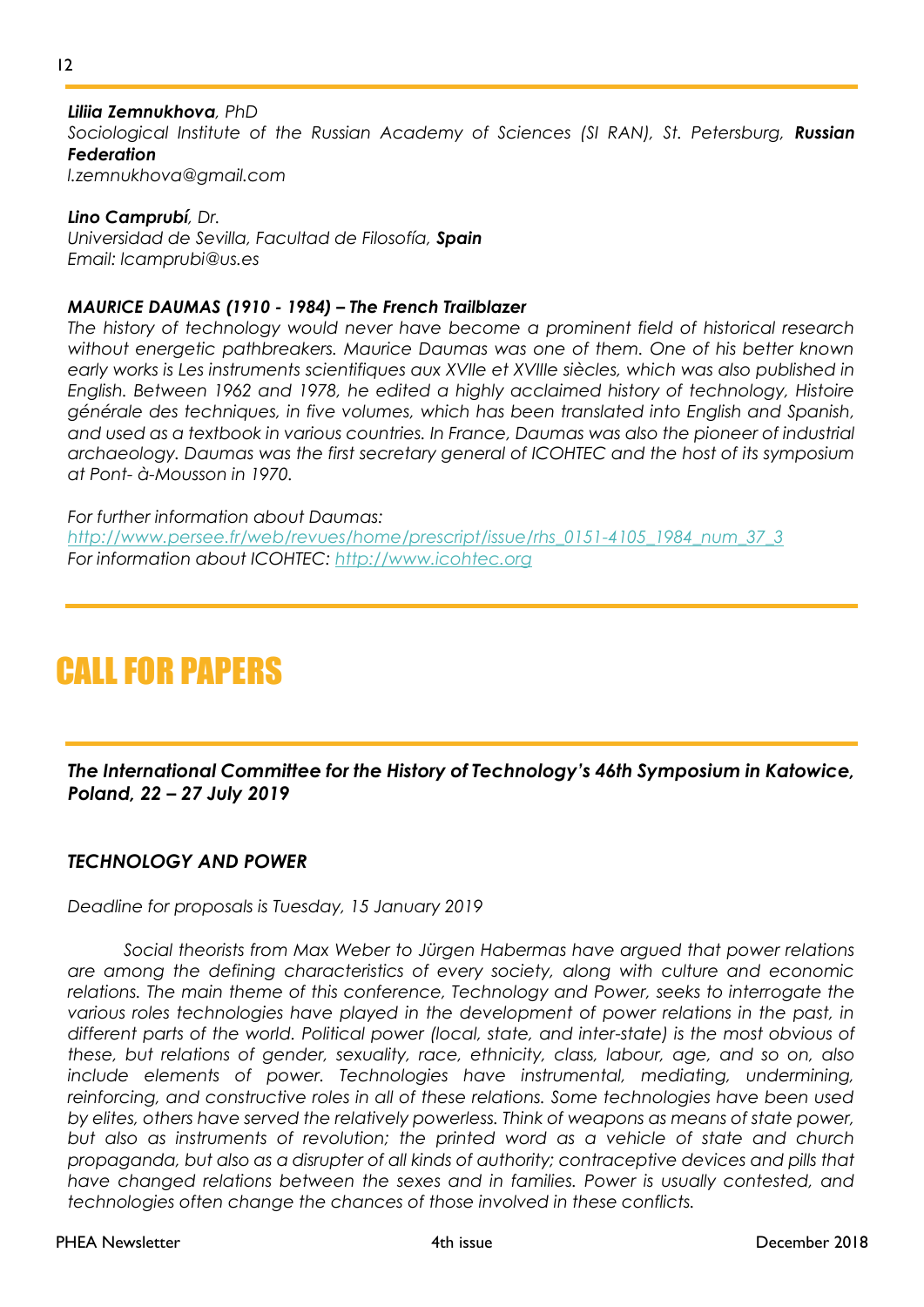12

*Sociological Institute of the Russian Academy of Sciences (SI RAN), St. Petersburg, Russian Federation*

*l.zemnukhova@gmail.com*

*Lino Camprubí, Dr. Universidad de Sevilla, Facultad de Filosofía, Spain Email: lcamprubi@us.es*

### *MAURICE DAUMAS (1910 - 1984) – The French Trailblazer*

*The history of technology would never have become a prominent field of historical research without energetic pathbreakers. Maurice Daumas was one of them. One of his better known early works is Les instruments scientifiques aux XVIIe et XVIIIe siècles, which was also published in English. Between 1962 and 1978, he edited a highly acclaimed history of technology, Histoire générale des techniques, in five volumes, which has been translated into English and Spanish, and used as a textbook in various countries. In France, Daumas was also the pioneer of industrial archaeology. Daumas was the first secretary general of ICOHTEC and the host of its symposium at Pont- à-Mousson in 1970.*

*For further information about Daumas: [http://www.persee.fr/web/revues/home/prescript/issue/rhs\\_0151-4105\\_1984\\_num\\_37\\_3](http://www.persee.fr/web/revues/home/prescript/issue/rhs_0151-4105_1984_num_37_3) For information about ICOHTEC: [http://www.icohtec.org](http://www.icohtec.org/)*

# CALL FOR PAPERS

*The International Committee for the History of Technology's 46th Symposium in Katowice, Poland, 22 – 27 July 2019*

# *TECHNOLOGY AND POWER*

*Deadline for proposals is Tuesday, 15 January 2019*

*Social theorists from Max Weber to Jürgen Habermas have argued that power relations are among the defining characteristics of every society, along with culture and economic*  relations. The main theme of this conference, Technology and Power, seeks to interrogate the various roles technologies have played in the development of power relations in the past, in *different parts of the world. Political power (local, state, and inter-state) is the most obvious of these, but relations of gender, sexuality, race, ethnicity, class, labour, age, and so on, also include elements of power. Technologies have instrumental, mediating, undermining, reinforcing, and constructive roles in all of these relations. Some technologies have been used by elites, others have served the relatively powerless. Think of weapons as means of state power, but also as instruments of revolution; the printed word as a vehicle of state and church propaganda, but also as a disrupter of all kinds of authority; contraceptive devices and pills that have changed relations between the sexes and in families. Power is usually contested, and technologies often change the chances of those involved in these conflicts.*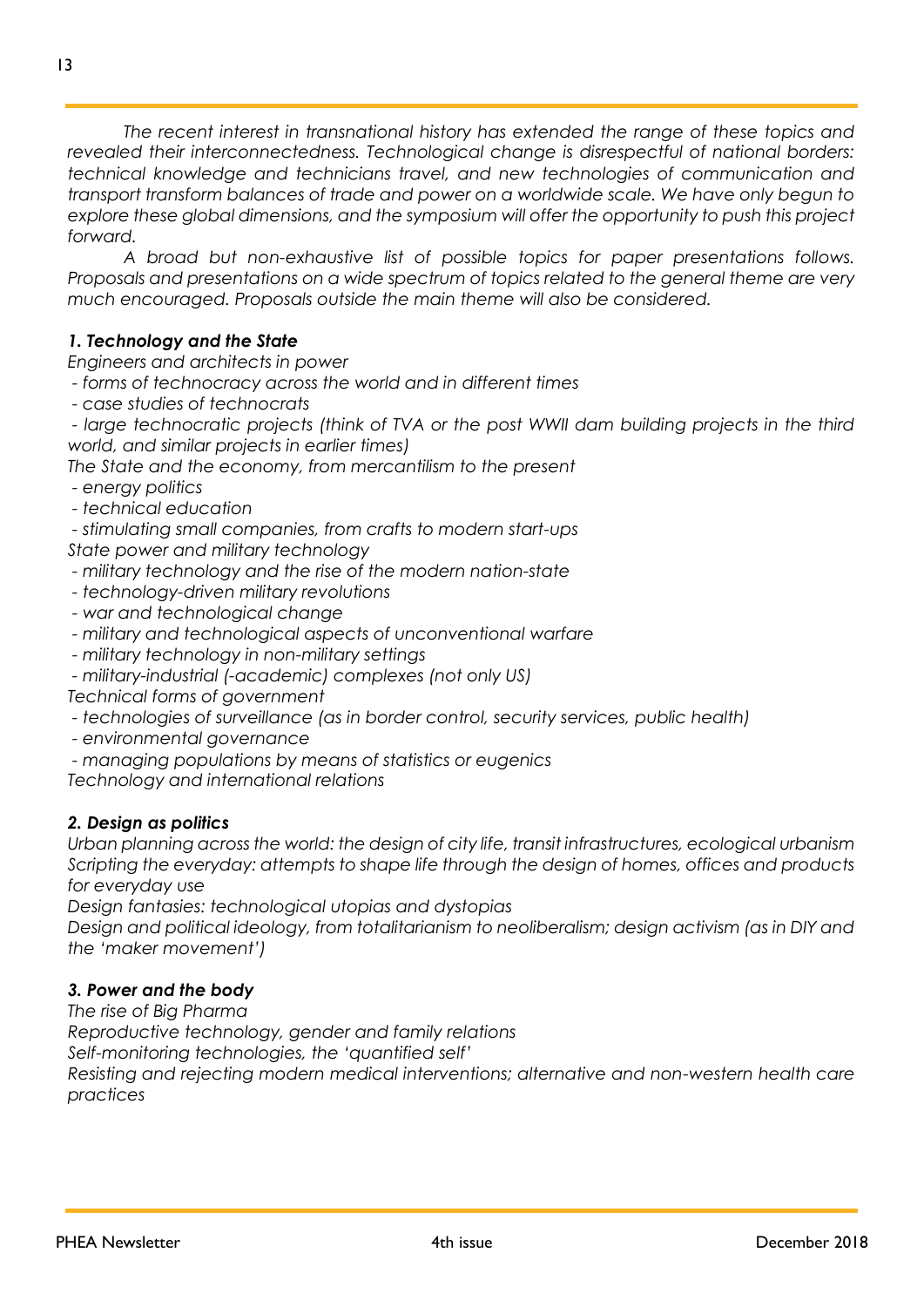*The recent interest in transnational history has extended the range of these topics and revealed their interconnectedness. Technological change is disrespectful of national borders: technical knowledge and technicians travel, and new technologies of communication and transport transform balances of trade and power on a worldwide scale. We have only begun to explore these global dimensions, and the symposium will offer the opportunity to push this project forward.*

*A broad but non-exhaustive list of possible topics for paper presentations follows. Proposals and presentations on a wide spectrum of topics related to the general theme are very much encouraged. Proposals outside the main theme will also be considered.*

# *1. Technology and the State*

*Engineers and architects in power*

- *- forms of technocracy across the world and in different times*
- *- case studies of technocrats*

*- large technocratic projects (think of TVA or the post WWII dam building projects in the third world, and similar projects in earlier times)*

*The State and the economy, from mercantilism to the present*

- *- energy politics*
- *- technical education*
- *- stimulating small companies, from crafts to modern start-ups*

*State power and military technology*

- *- military technology and the rise of the modern nation-state*
- *- technology-driven military revolutions*
- *- war and technological change*
- *- military and technological aspects of unconventional warfare*
- *- military technology in non-military settings*
- *- military-industrial (-academic) complexes (not only US)*

*Technical forms of government*

- *- technologies of surveillance (as in border control, security services, public health)*
- *- environmental governance*
- *- managing populations by means of statistics or eugenics*

*Technology and international relations*

# *2. Design as politics*

*Urban planning across the world: the design of city life, transit infrastructures, ecological urbanism Scripting the everyday: attempts to shape life through the design of homes, offices and products for everyday use*

*Design fantasies: technological utopias and dystopias*

*Design and political ideology, from totalitarianism to neoliberalism; design activism (as in DIY and the 'maker movement')*

# *3. Power and the body*

*The rise of Big Pharma Reproductive technology, gender and family relations Self-monitoring technologies, the 'quantified self' Resisting and rejecting modern medical interventions; alternative and non-western health care practices*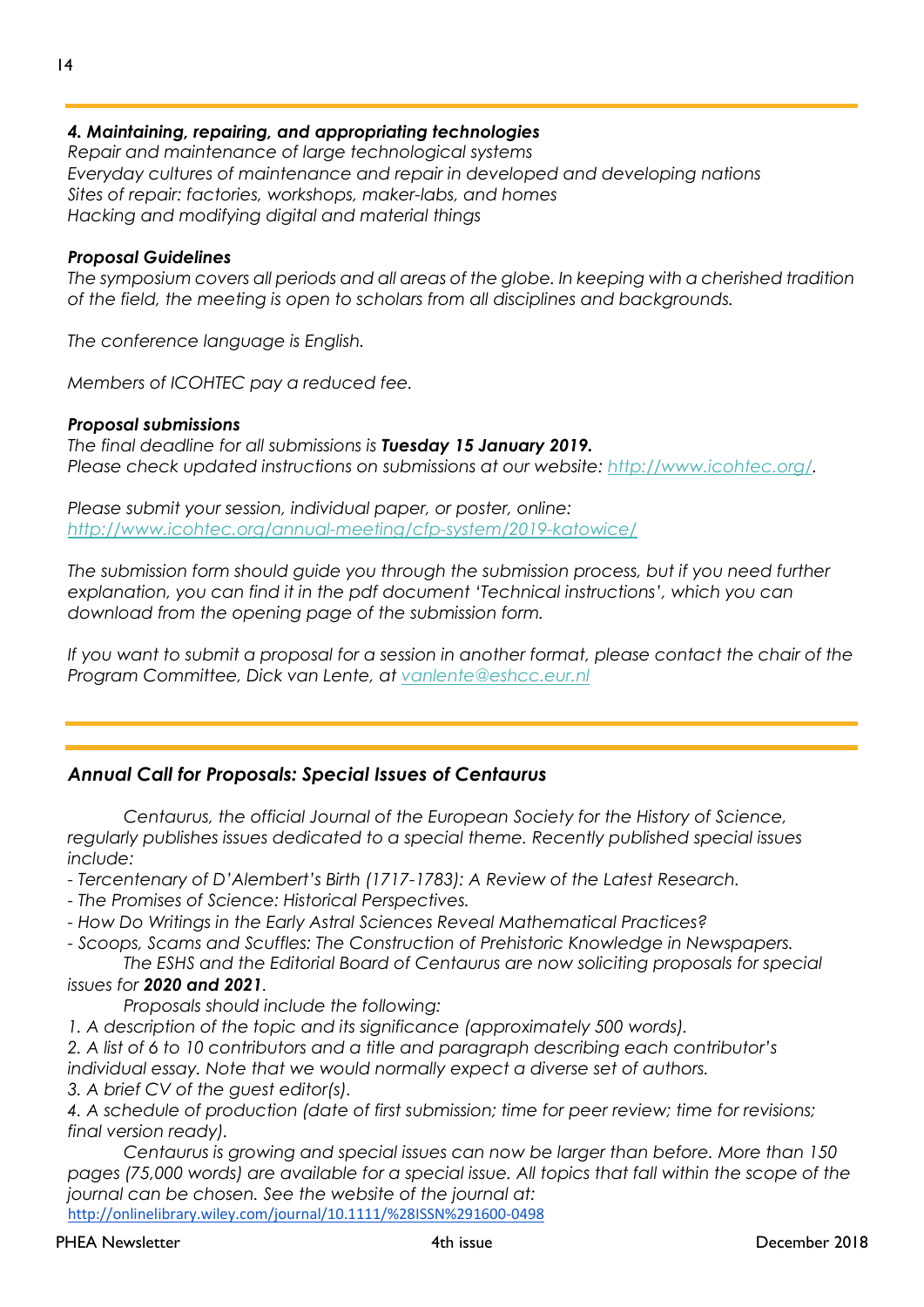### *4. Maintaining, repairing, and appropriating technologies*

*Repair and maintenance of large technological systems Everyday cultures of maintenance and repair in developed and developing nations Sites of repair: factories, workshops, maker-labs, and homes Hacking and modifying digital and material things*

#### *Proposal Guidelines*

*The symposium covers all periods and all areas of the globe. In keeping with a cherished tradition of the field, the meeting is open to scholars from all disciplines and backgrounds.*

*The conference language is English.*

*Members of ICOHTEC pay a reduced fee.*

#### *Proposal submissions*

*The final deadline for all submissions is Tuesday 15 January 2019. Please check updated instructions on submissions at our website: [http://www.icohtec.org/.](http://www.icohtec.org/)*

*Please submit your session, individual paper, or poster, online: <http://www.icohtec.org/annual-meeting/cfp-system/2019-katowice/>*

The submission form should guide you through the submission process, but if you need further *explanation, you can find it in the pdf document 'Technical instructions', which you can download from the opening page of the submission form.*

*If you want to submit a proposal for a session in another format, please contact the chair of the Program Committee, Dick van Lente, at [vanlente@eshcc.eur.nl](mailto:vanlente@eshcc.eur.nl)*

#### *Annual Call for Proposals: Special Issues of Centaurus*

*Centaurus, the official Journal of the European Society for the History of Science, regularly publishes issues dedicated to a special theme. Recently published special issues include:*

*- Tercentenary of D'Alembert's Birth (1717-1783): A Review of the Latest Research.*

- *- The Promises of Science: Historical Perspectives.*
- *- How Do Writings in the Early Astral Sciences Reveal Mathematical Practices?*

*- Scoops, Scams and Scuffles: The Construction of Prehistoric Knowledge in Newspapers.*

*The ESHS and the Editorial Board of Centaurus are now soliciting proposals for special issues for 2020 and 2021.*

*Proposals should include the following:*

*1. A description of the topic and its significance (approximately 500 words).*

*2. A list of 6 to 10 contributors and a title and paragraph describing each contributor's individual essay. Note that we would normally expect a diverse set of authors.*

*3. A brief CV of the guest editor(s).*

*4. A schedule of production (date of first submission; time for peer review; time for revisions; final version ready).*

*Centaurus is growing and special issues can now be larger than before. More than 150 pages (75,000 words) are available for a special issue. All topics that fall within the scope of the journal can be chosen. See the website of the journal at:* <http://onlinelibrary.wiley.com/journal/10.1111/%28ISSN%291600-0498>